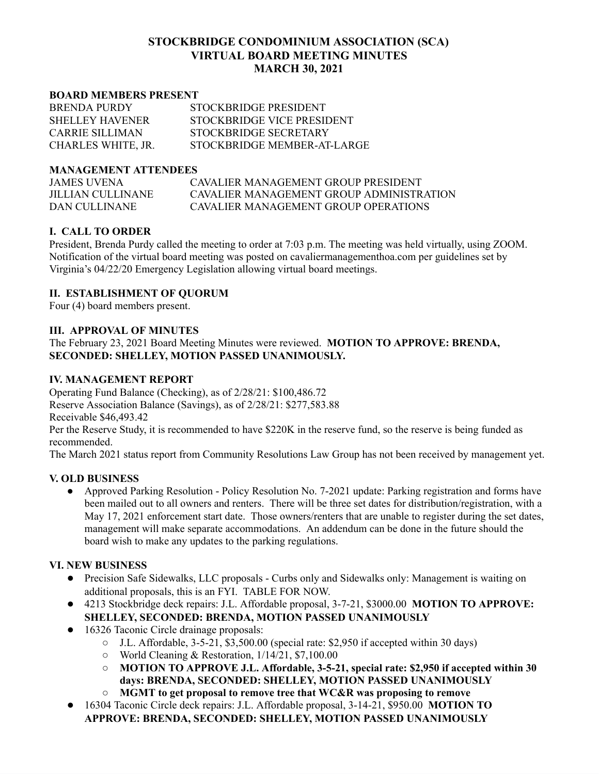## **STOCKBRIDGE CONDOMINIUM ASSOCIATION (SCA) VIRTUAL BOARD MEETING MINUTES MARCH 30, 2021**

#### **BOARD MEMBERS PRESENT**

| <b>BRENDA PURDY</b>    | STOCKBRIDGE PRESIDENT       |
|------------------------|-----------------------------|
| <b>SHELLEY HAVENER</b> | STOCKBRIDGE VICE PRESIDENT  |
| CARRIE SILLIMAN        | STOCKBRIDGE SECRETARY       |
| CHARLES WHITE, JR.     | STOCKBRIDGE MEMBER-AT-LARGE |

#### **MANAGEMENT ATTENDEES**

JAMES UVENA CAVALIER MANAGEMENT GROUP PRESIDENT JILLIAN CULLINANE CAVALIER MANAGEMENT GROUP ADMINISTRATION DAN CULLINANE CAVALIER MANAGEMENT GROUP OPERATIONS

### **I. CALL TO ORDER**

President, Brenda Purdy called the meeting to order at 7:03 p.m. The meeting was held virtually, using ZOOM. Notification of the virtual board meeting was posted on cavaliermanagementhoa.com per guidelines set by Virginia's 04/22/20 Emergency Legislation allowing virtual board meetings.

#### **II. ESTABLISHMENT OF QUORUM**

Four (4) board members present.

### **III. APPROVAL OF MINUTES**

The February 23, 2021 Board Meeting Minutes were reviewed. **MOTION TO APPROVE: BRENDA, SECONDED: SHELLEY, MOTION PASSED UNANIMOUSLY.**

### **IV. MANAGEMENT REPORT**

Operating Fund Balance (Checking), as of 2/28/21: \$100,486.72 Reserve Association Balance (Savings), as of 2/28/21: \$277,583.88 Receivable \$46,493.42

Per the Reserve Study, it is recommended to have \$220K in the reserve fund, so the reserve is being funded as recommended.

The March 2021 status report from Community Resolutions Law Group has not been received by management yet.

#### **V. OLD BUSINESS**

● Approved Parking Resolution - Policy Resolution No. 7-2021 update: Parking registration and forms have been mailed out to all owners and renters. There will be three set dates for distribution/registration, with a May 17, 2021 enforcement start date. Those owners/renters that are unable to register during the set dates, management will make separate accommodations. An addendum can be done in the future should the board wish to make any updates to the parking regulations.

#### **VI. NEW BUSINESS**

- Precision Safe Sidewalks, LLC proposals Curbs only and Sidewalks only: Management is waiting on additional proposals, this is an FYI. TABLE FOR NOW.
- 4213 Stockbridge deck repairs: J.L. Affordable proposal, 3-7-21, \$3000.00 **MOTION TO APPROVE: SHELLEY, SECONDED: BRENDA, MOTION PASSED UNANIMOUSLY**
- 16326 Taconic Circle drainage proposals:
	- $\circ$  J.L. Affordable, 3-5-21, \$3,500.00 (special rate: \$2,950 if accepted within 30 days)
	- World Cleaning & Restoration, 1/14/21, \$7,100.00
	- **MOTION TO APPROVE J.L. Affordable, 3-5-21, special rate: \$2,950 if accepted within 30 days: BRENDA, SECONDED: SHELLEY, MOTION PASSED UNANIMOUSLY**
	- **○ MGMT to get proposal to remove tree that WC&R was proposing to remove**
- 16304 Taconic Circle deck repairs: J.L. Affordable proposal, 3-14-21, \$950.00 **MOTION TO APPROVE: BRENDA, SECONDED: SHELLEY, MOTION PASSED UNANIMOUSLY**